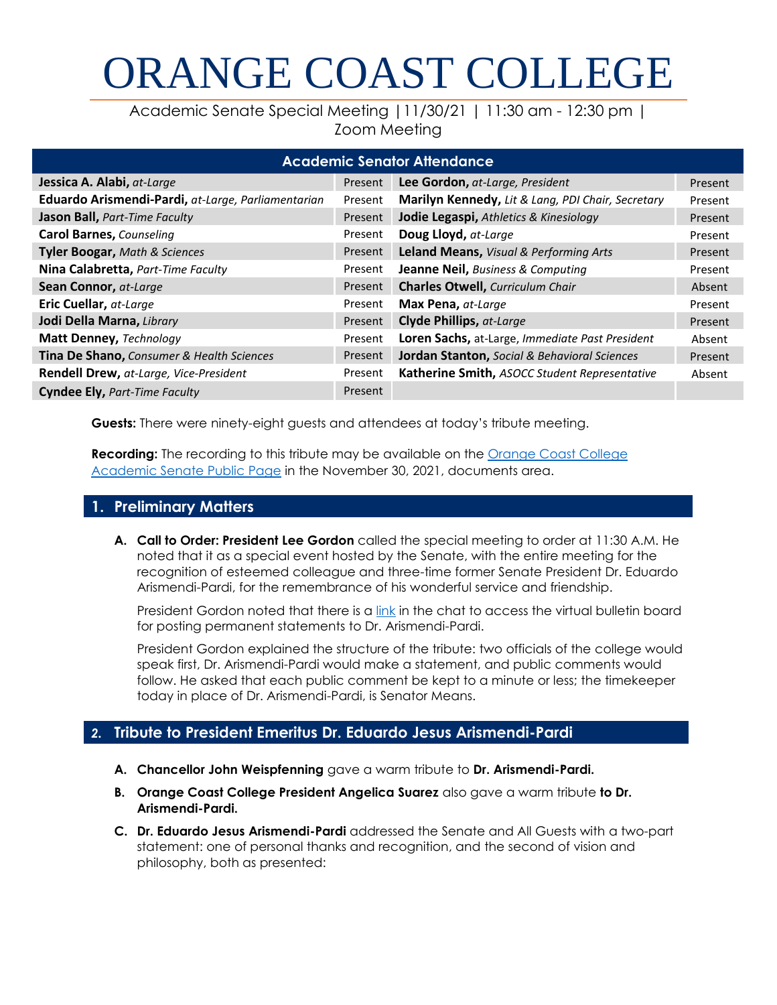# ORANGE COAST COLLEGE

Academic Senate Special Meeting |11/30/21 | 11:30 am - 12:30 pm | Zoom Meeting

| <b>Academic Senator Attendance</b>                 |         |                                                   |         |
|----------------------------------------------------|---------|---------------------------------------------------|---------|
| Jessica A. Alabi, at-Large                         | Present | Lee Gordon, at-Large, President                   | Present |
| Eduardo Arismendi-Pardi, at-Large, Parliamentarian | Present | Marilyn Kennedy, Lit & Lang, PDI Chair, Secretary | Present |
| Jason Ball, Part-Time Faculty                      | Present | Jodie Legaspi, Athletics & Kinesiology            | Present |
| <b>Carol Barnes, Counseling</b>                    | Present | Doug Lloyd, at-Large                              | Present |
| Tyler Boogar, Math & Sciences                      | Present | Leland Means, Visual & Performing Arts            | Present |
| Nina Calabretta, Part-Time Faculty                 | Present | <b>Jeanne Neil, Business &amp; Computing</b>      | Present |
| Sean Connor, at-Large                              | Present | <b>Charles Otwell, Curriculum Chair</b>           | Absent  |
| Eric Cuellar, at-Large                             | Present | Max Pena, at-Large                                | Present |
| Jodi Della Marna, Library                          | Present | <b>Clyde Phillips, at-Large</b>                   | Present |
| Matt Denney, Technology                            | Present | Loren Sachs, at-Large, Immediate Past President   | Absent  |
| Tina De Shano, Consumer & Health Sciences          | Present | Jordan Stanton, Social & Behavioral Sciences      | Present |
| Rendell Drew, at-Large, Vice-President             | Present | Katherine Smith, ASOCC Student Representative     | Absent  |
| <b>Cyndee Ely, Part-Time Faculty</b>               | Present |                                                   |         |

**Guests:** There were ninety-eight guests and attendees at today's tribute meeting.

**Recording:** The recording to this tribute may be available on the **Orange Coast College** [Academic Senate Public Page](http://www.orangecoastcollege.edu/about_occ/AcademicSenate/Pages/AgendasAndMinutes.aspx) in the November 30, 2021, documents area.

### **1. Preliminary Matters**

**A. Call to Order: President Lee Gordon** called the special meeting to order at 11:30 A.M. He noted that it as a special event hosted by the Senate, with the entire meeting for the recognition of esteemed colleague and three-time former Senate President Dr. Eduardo Arismendi-Pardi, for the remembrance of his wonderful service and friendship.

President Gordon noted that there is a [link](https://padlet.com/brodriguezvaca/6wmqfsag6vobqhyh) in the chat to access the virtual bulletin board for posting permanent statements to Dr. Arismendi-Pardi.

President Gordon explained the structure of the tribute: two officials of the college would speak first, Dr. Arismendi-Pardi would make a statement, and public comments would follow. He asked that each public comment be kept to a minute or less; the timekeeper today in place of Dr. Arismendi-Pardi, is Senator Means.

### *2.* **Tribute to President Emeritus Dr. Eduardo Jesus Arismendi-Pardi**

- **A. Chancellor John Weispfenning** gave a warm tribute to **Dr. Arismendi-Pardi.**
- **B. Orange Coast College President Angelica Suarez** also gave a warm tribute **to Dr. Arismendi-Pardi.**
- **C. Dr. Eduardo Jesus Arismendi-Pardi** addressed the Senate and All Guests with a two-part statement: one of personal thanks and recognition, and the second of vision and philosophy, both as presented: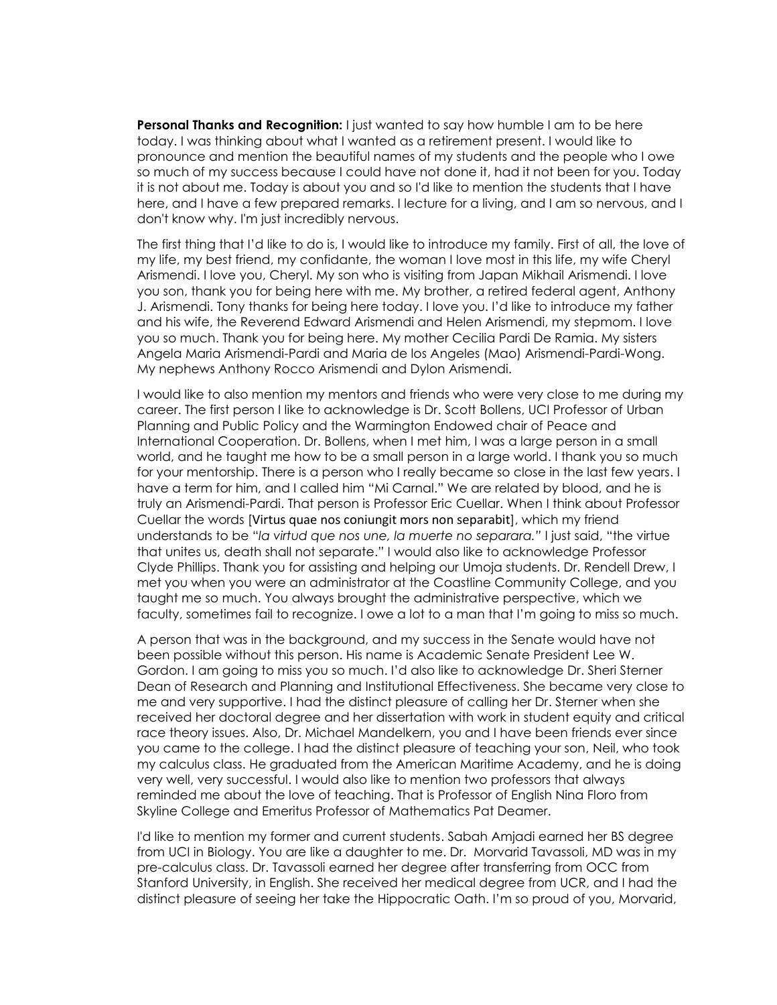**Personal Thanks and Recognition:** I just wanted to say how humble I am to be here today. I was thinking about what I wanted as a retirement present. I would like to pronounce and mention the beautiful names of my students and the people who I owe so much of my success because I could have not done it, had it not been for you. Today it is not about me. Today is about you and so I'd like to mention the students that I have here, and I have a few prepared remarks. I lecture for a living, and I am so nervous, and I don't know why. I'm just incredibly nervous.

The first thing that I'd like to do is, I would like to introduce my family. First of all, the love of my life, my best friend, my confidante, the woman I love most in this life, my wife Cheryl Arismendi. I love you, Cheryl. My son who is visiting from Japan Mikhail Arismendi. I love you son, thank you for being here with me. My brother, a retired federal agent, Anthony J. Arismendi. Tony thanks for being here today. I love you. I'd like to introduce my father and his wife, the Reverend Edward Arismendi and Helen Arismendi, my stepmom. I love you so much. Thank you for being here. My mother Cecilia Pardi De Ramia. My sisters Angela Maria Arismendi-Pardi and Maria de los Angeles (Mao) Arismendi-Pardi-Wong. My nephews Anthony Rocco Arismendi and Dylon Arismendi.

I would like to also mention my mentors and friends who were very close to me during my career. The first person I like to acknowledge is Dr. Scott Bollens, UCI Professor of Urban Planning and Public Policy and the Warmington Endowed chair of Peace and International Cooperation. Dr. Bollens, when I met him, I was a large person in a small world, and he taught me how to be a small person in a large world. I thank you so much for your mentorship. There is a person who I really became so close in the last few years. I have a term for him, and I called him "Mi Carnal." We are related by blood, and he is truly an Arismendi-Pardi. That person is Professor Eric Cuellar. When I think about Professor Cuellar the words [Virtus quae nos coniungit mors non separabit], which my friend understands to be "*la virtud que nos une, la muerte no separara."* I just said, "the virtue that unites us, death shall not separate." I would also like to acknowledge Professor Clyde Phillips. Thank you for assisting and helping our Umoja students. Dr. Rendell Drew, I met you when you were an administrator at the Coastline Community College, and you taught me so much. You always brought the administrative perspective, which we faculty, sometimes fail to recognize. I owe a lot to a man that I'm going to miss so much.

A person that was in the background, and my success in the Senate would have not been possible without this person. His name is Academic Senate President Lee W. Gordon. I am going to miss you so much. I'd also like to acknowledge Dr. Sheri Sterner Dean of Research and Planning and Institutional Effectiveness. She became very close to me and very supportive. I had the distinct pleasure of calling her Dr. Sterner when she received her doctoral degree and her dissertation with work in student equity and critical race theory issues. Also, Dr. Michael Mandelkern, you and I have been friends ever since you came to the college. I had the distinct pleasure of teaching your son, Neil, who took my calculus class. He graduated from the American Maritime Academy, and he is doing very well, very successful. I would also like to mention two professors that always reminded me about the love of teaching. That is Professor of English Nina Floro from Skyline College and Emeritus Professor of Mathematics Pat Deamer.

I'd like to mention my former and current students. Sabah Amjadi earned her BS degree from UCI in Biology. You are like a daughter to me. Dr. Morvarid Tavassoli, MD was in my pre-calculus class. Dr. Tavassoli earned her degree after transferring from OCC from Stanford University, in English. She received her medical degree from UCR, and I had the distinct pleasure of seeing her take the Hippocratic Oath. I'm so proud of you, Morvarid,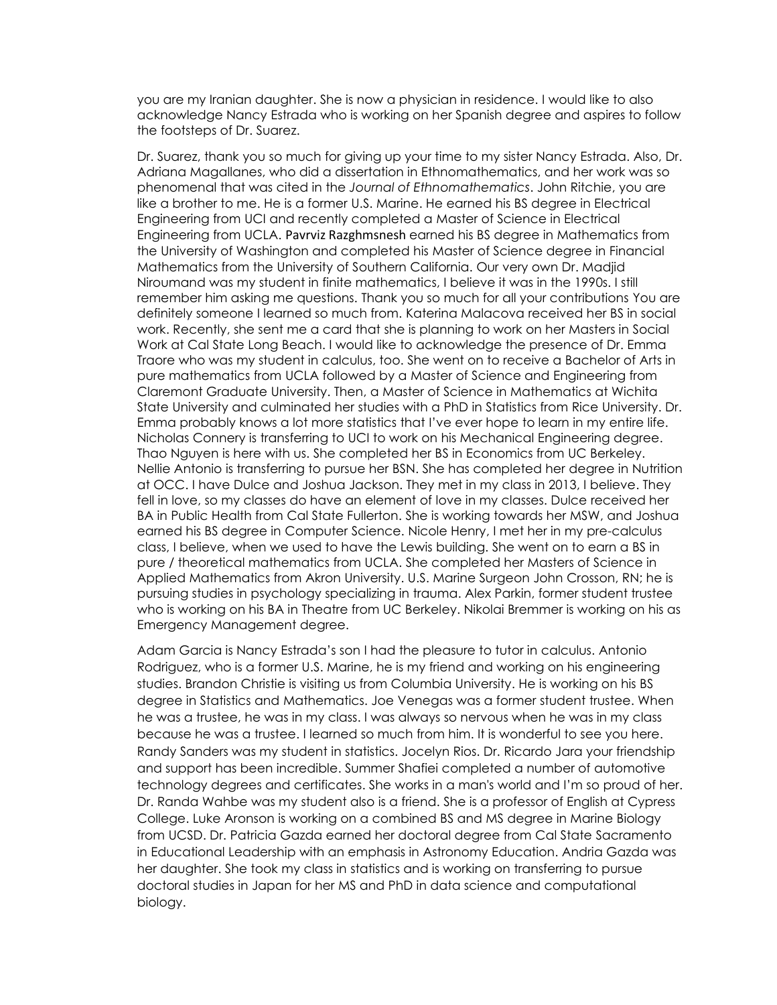you are my Iranian daughter. She is now a physician in residence. I would like to also acknowledge Nancy Estrada who is working on her Spanish degree and aspires to follow the footsteps of Dr. Suarez.

Dr. Suarez, thank you so much for giving up your time to my sister Nancy Estrada. Also, Dr. Adriana Magallanes, who did a dissertation in Ethnomathematics, and her work was so phenomenal that was cited in the *Journal of Ethnomathematics*. John Ritchie, you are like a brother to me. He is a former U.S. Marine. He earned his BS degree in Electrical Engineering from UCI and recently completed a Master of Science in Electrical Engineering from UCLA. Pavrviz Razghmsnesh earned his BS degree in Mathematics from the University of Washington and completed his Master of Science degree in Financial Mathematics from the University of Southern California. Our very own Dr. Madjid Niroumand was my student in finite mathematics, I believe it was in the 1990s. I still remember him asking me questions. Thank you so much for all your contributions You are definitely someone I learned so much from. Katerina Malacova received her BS in social work. Recently, she sent me a card that she is planning to work on her Masters in Social Work at Cal State Long Beach. I would like to acknowledge the presence of Dr. Emma Traore who was my student in calculus, too. She went on to receive a Bachelor of Arts in pure mathematics from UCLA followed by a Master of Science and Engineering from Claremont Graduate University. Then, a Master of Science in Mathematics at Wichita State University and culminated her studies with a PhD in Statistics from Rice University. Dr. Emma probably knows a lot more statistics that I've ever hope to learn in my entire life. Nicholas Connery is transferring to UCI to work on his Mechanical Engineering degree. Thao Nguyen is here with us. She completed her BS in Economics from UC Berkeley. Nellie Antonio is transferring to pursue her BSN. She has completed her degree in Nutrition at OCC. I have Dulce and Joshua Jackson. They met in my class in 2013, I believe. They fell in love, so my classes do have an element of love in my classes. Dulce received her BA in Public Health from Cal State Fullerton. She is working towards her MSW, and Joshua earned his BS degree in Computer Science. Nicole Henry, I met her in my pre-calculus class, I believe, when we used to have the Lewis building. She went on to earn a BS in pure / theoretical mathematics from UCLA. She completed her Masters of Science in Applied Mathematics from Akron University. U.S. Marine Surgeon John Crosson, RN; he is pursuing studies in psychology specializing in trauma. Alex Parkin, former student trustee who is working on his BA in Theatre from UC Berkeley. Nikolai Bremmer is working on his as Emergency Management degree.

Adam Garcia is Nancy Estrada's son I had the pleasure to tutor in calculus. Antonio Rodriguez, who is a former U.S. Marine, he is my friend and working on his engineering studies. Brandon Christie is visiting us from Columbia University. He is working on his BS degree in Statistics and Mathematics. Joe Venegas was a former student trustee. When he was a trustee, he was in my class. I was always so nervous when he was in my class because he was a trustee. I learned so much from him. It is wonderful to see you here. Randy Sanders was my student in statistics. Jocelyn Rios. Dr. Ricardo Jara your friendship and support has been incredible. Summer Shafiei completed a number of automotive technology degrees and certificates. She works in a man's world and I'm so proud of her. Dr. Randa Wahbe was my student also is a friend. She is a professor of English at Cypress College. Luke Aronson is working on a combined BS and MS degree in Marine Biology from UCSD. Dr. Patricia Gazda earned her doctoral degree from Cal State Sacramento in Educational Leadership with an emphasis in Astronomy Education. Andria Gazda was her daughter. She took my class in statistics and is working on transferring to pursue doctoral studies in Japan for her MS and PhD in data science and computational biology.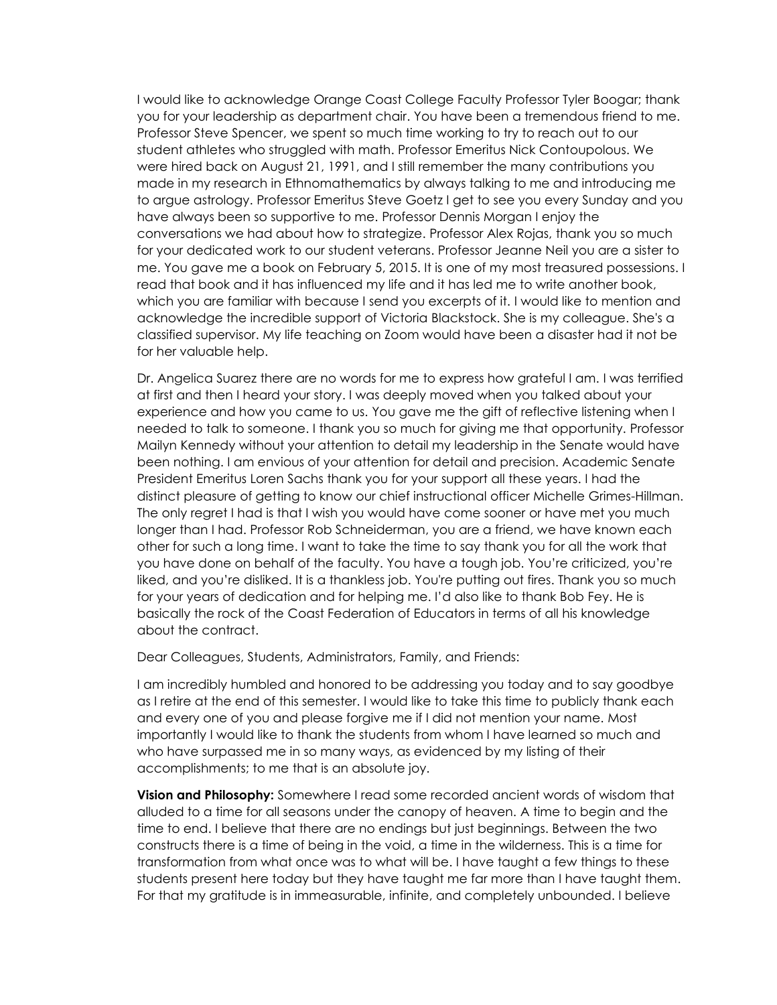I would like to acknowledge Orange Coast College Faculty Professor Tyler Boogar; thank you for your leadership as department chair. You have been a tremendous friend to me. Professor Steve Spencer, we spent so much time working to try to reach out to our student athletes who struggled with math. Professor Emeritus Nick Contoupolous. We were hired back on August 21, 1991, and I still remember the many contributions you made in my research in Ethnomathematics by always talking to me and introducing me to argue astrology. Professor Emeritus Steve Goetz I get to see you every Sunday and you have always been so supportive to me. Professor Dennis Morgan I enjoy the conversations we had about how to strategize. Professor Alex Rojas, thank you so much for your dedicated work to our student veterans. Professor Jeanne Neil you are a sister to me. You gave me a book on February 5, 2015. It is one of my most treasured possessions. I read that book and it has influenced my life and it has led me to write another book, which you are familiar with because I send you excerpts of it. I would like to mention and acknowledge the incredible support of Victoria Blackstock. She is my colleague. She's a classified supervisor. My life teaching on Zoom would have been a disaster had it not be for her valuable help.

Dr. Angelica Suarez there are no words for me to express how grateful I am. I was terrified at first and then I heard your story. I was deeply moved when you talked about your experience and how you came to us. You gave me the gift of reflective listening when I needed to talk to someone. I thank you so much for giving me that opportunity. Professor Mailyn Kennedy without your attention to detail my leadership in the Senate would have been nothing. I am envious of your attention for detail and precision. Academic Senate President Emeritus Loren Sachs thank you for your support all these years. I had the distinct pleasure of getting to know our chief instructional officer Michelle Grimes-Hillman. The only regret I had is that I wish you would have come sooner or have met you much longer than I had. Professor Rob Schneiderman, you are a friend, we have known each other for such a long time. I want to take the time to say thank you for all the work that you have done on behalf of the faculty. You have a tough job. You're criticized, you're liked, and you're disliked. It is a thankless job. You're putting out fires. Thank you so much for your years of dedication and for helping me. I'd also like to thank Bob Fey. He is basically the rock of the Coast Federation of Educators in terms of all his knowledge about the contract.

Dear Colleagues, Students, Administrators, Family, and Friends:

I am incredibly humbled and honored to be addressing you today and to say goodbye as I retire at the end of this semester. I would like to take this time to publicly thank each and every one of you and please forgive me if I did not mention your name. Most importantly I would like to thank the students from whom I have learned so much and who have surpassed me in so many ways, as evidenced by my listing of their accomplishments; to me that is an absolute joy.

**Vision and Philosophy:** Somewhere I read some recorded ancient words of wisdom that alluded to a time for all seasons under the canopy of heaven. A time to begin and the time to end. I believe that there are no endings but just beginnings. Between the two constructs there is a time of being in the void, a time in the wilderness. This is a time for transformation from what once was to what will be. I have taught a few things to these students present here today but they have taught me far more than I have taught them. For that my gratitude is in immeasurable, infinite, and completely unbounded. I believe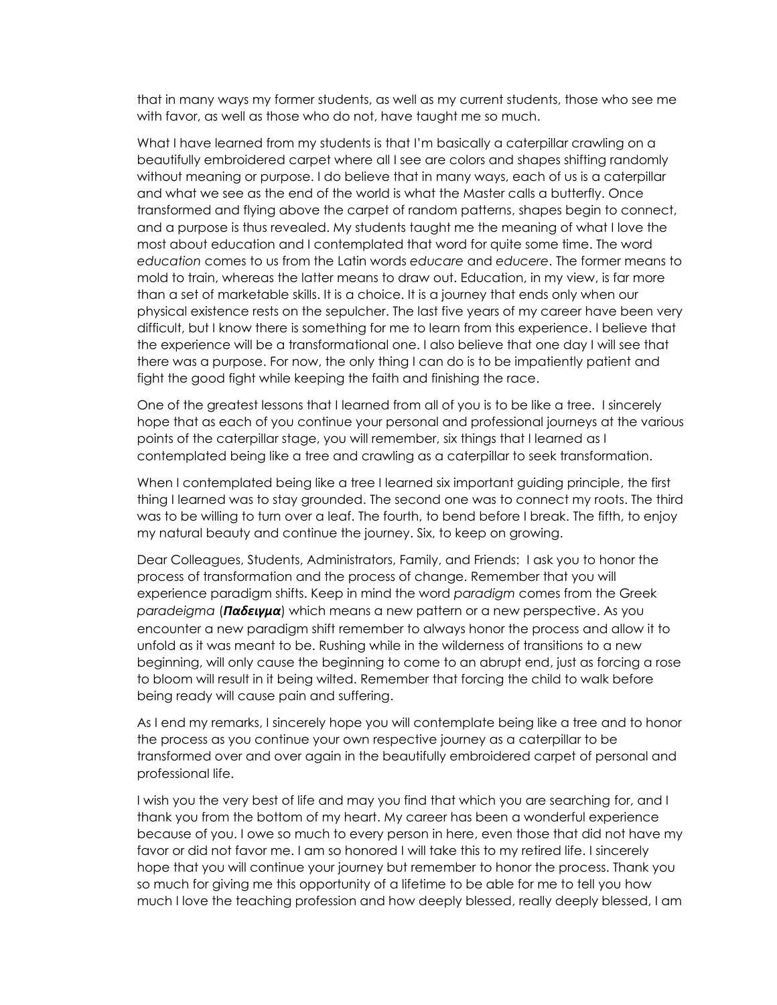that in many ways my former students, as well as my current students, those who see me with favor, as well as those who do not, have taught me so much.

What I have learned from my students is that I'm basically a caterpillar crawling on a beautifully embroidered carpet where all I see are colors and shapes shifting randomly without meaning or purpose. I do believe that in many ways, each of us is a caterpillar and what we see as the end of the world is what the Master calls a butterfly. Once transformed and flying above the carpet of random patterns, shapes begin to connect, and a purpose is thus revealed. My students taught me the meaning of what I love the most about education and I contemplated that word for quite some time. The word *education* comes to us from the Latin words *educare* and *educere*. The former means to mold to train, whereas the latter means to draw out. Education, in my view, is far more than a set of marketable skills. It is a choice. It is a journey that ends only when our physical existence rests on the sepulcher. The last five years of my career have been very difficult, but I know there is something for me to learn from this experience. I believe that the experience will be a transformational one. I also believe that one day I will see that there was a purpose. For now, the only thing I can do is to be impatiently patient and fight the good fight while keeping the faith and finishing the race.

One of the greatest lessons that I learned from all of you is to be like a tree. I sincerely hope that as each of you continue your personal and professional journeys at the various points of the caterpillar stage, you will remember, six things that I learned as I contemplated being like a tree and crawling as a caterpillar to seek transformation.

When I contemplated being like a tree I learned six important guiding principle, the first thing I learned was to stay grounded. The second one was to connect my roots. The third was to be willing to turn over a leaf. The fourth, to bend before I break. The fifth, to enjoy my natural beauty and continue the journey. Six, to keep on growing.

Dear Colleagues, Students, Administrators, Family, and Friends: I ask you to honor the process of transformation and the process of change. Remember that you will experience paradigm shifts. Keep in mind the word *paradigm* comes from the Greek *paradeigma* (*Пαδειγμα*) which means a new pattern or a new perspective. As you encounter a new paradigm shift remember to always honor the process and allow it to unfold as it was meant to be. Rushing while in the wilderness of transitions to a new beginning, will only cause the beginning to come to an abrupt end, just as forcing a rose to bloom will result in it being wilted. Remember that forcing the child to walk before being ready will cause pain and suffering.

As I end my remarks, I sincerely hope you will contemplate being like a tree and to honor the process as you continue your own respective journey as a caterpillar to be transformed over and over again in the beautifully embroidered carpet of personal and professional life.

I wish you the very best of life and may you find that which you are searching for, and I thank you from the bottom of my heart. My career has been a wonderful experience because of you. I owe so much to every person in here, even those that did not have my favor or did not favor me. I am so honored I will take this to my retired life. I sincerely hope that you will continue your journey but remember to honor the process. Thank you so much for giving me this opportunity of a lifetime to be able for me to tell you how much I love the teaching profession and how deeply blessed, really deeply blessed, I am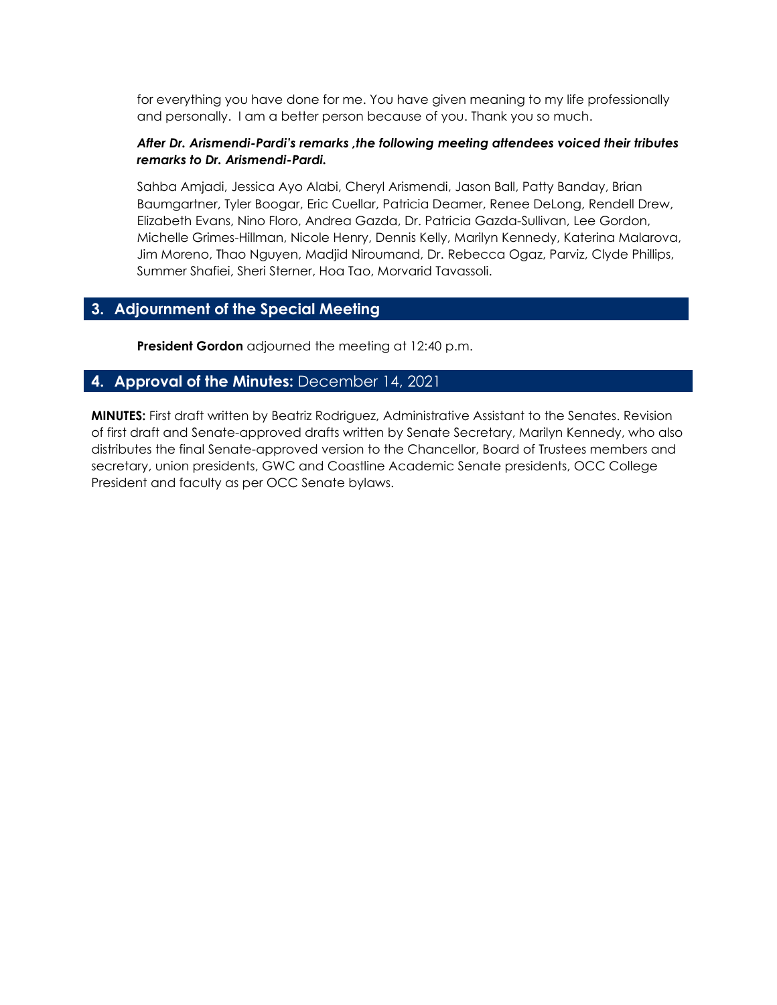for everything you have done for me. You have given meaning to my life professionally and personally. I am a better person because of you. Thank you so much.

#### *After Dr. Arismendi-Pardi's remarks ,the following meeting attendees voiced their tributes remarks to Dr. Arismendi-Pardi.*

Sahba Amjadi, Jessica Ayo Alabi, Cheryl Arismendi, Jason Ball, Patty Banday, Brian Baumgartner, Tyler Boogar, Eric Cuellar, Patricia Deamer, Renee DeLong, Rendell Drew, Elizabeth Evans, Nino Floro, Andrea Gazda, Dr. Patricia Gazda-Sullivan, Lee Gordon, Michelle Grimes-Hillman, Nicole Henry, Dennis Kelly, Marilyn Kennedy, Katerina Malarova, Jim Moreno, Thao Nguyen, Madjid Niroumand, Dr. Rebecca Ogaz, Parviz, Clyde Phillips, Summer Shafiei, Sheri Sterner, Hoa Tao, Morvarid Tavassoli.

### **3. Adjournment of the Special Meeting**

**President Gordon** adjourned the meeting at 12:40 p.m.

#### **4. Approval of the Minutes:** December 14, 2021

**MINUTES:** First draft written by Beatriz Rodriguez, Administrative Assistant to the Senates. Revision of first draft and Senate-approved drafts written by Senate Secretary, Marilyn Kennedy, who also distributes the final Senate-approved version to the Chancellor, Board of Trustees members and secretary, union presidents, GWC and Coastline Academic Senate presidents, OCC College President and faculty as per OCC Senate bylaws.